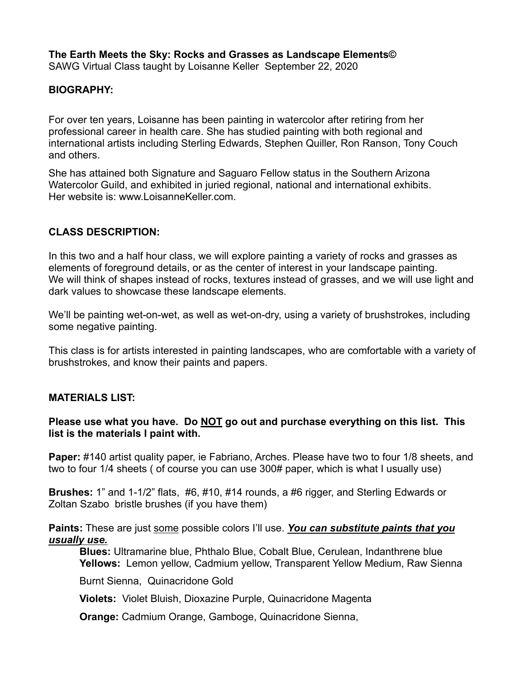**The Earth Meets the Sky: Rocks and Grasses as Landscape Elements©** SAWG Virtual Class taught by Loisanne Keller September 22, 2020

#### **BIOGRAPHY:**

For over ten years, Loisanne has been painting in watercolor after retiring from her professional career in health care. She has studied painting with both regional and international artists including Sterling Edwards, Stephen Quiller, Ron Ranson, Tony Couch and others.

She has attained both Signature and Saguaro Fellow status in the Southern Arizona Watercolor Guild, and exhibited in juried regional, national and international exhibits. Her website is: www.LoisanneKeller.com

# **CLASS DESCRIPTION:**

In this two and a half hour class, we will explore painting a variety of rocks and grasses as elements of foreground details, or as the center of interest in your landscape painting. We will think of shapes instead of rocks, textures instead of grasses, and we will use light and dark values to showcase these landscape elements.

We'll be painting wet-on-wet, as well as wet-on-dry, using a variety of brushstrokes, including some negative painting.

This class is for artists interested in painting landscapes, who are comfortable with a variety of brushstrokes, and know their paints and papers.

# **MATERIALS LIST:**

### Please use what you have. Do **NOT** go out and purchase everything on this list. This **list is the materials I paint with.**

**Paper:** #140 artist quality paper, ie Fabriano, Arches. Please have two to four 1/8 sheets, and two to four 1/4 sheets ( of course you can use 300# paper, which is what I usually use)

**Brushes:** 1" and 1-1/2" flats, #6, #10, #14 rounds, a #6 rigger, and Sterling Edwards or Zoltan Szabo bristle brushes (if you have them)

**Paints:** These are just some possible colors I'll use. *You can substitute paints that you usually use.*

**Blues:** Ultramarine blue, Phthalo Blue, Cobalt Blue, Cerulean, Indanthrene blue **Yellows:** Lemon yellow, Cadmium yellow, Transparent Yellow Medium, Raw Sienna

Burnt Sienna, Quinacridone Gold

**Violets:** Violet Bluish, Dioxazine Purple, Quinacridone Magenta

**Orange:** Cadmium Orange, Gamboge, Quinacridone Sienna,